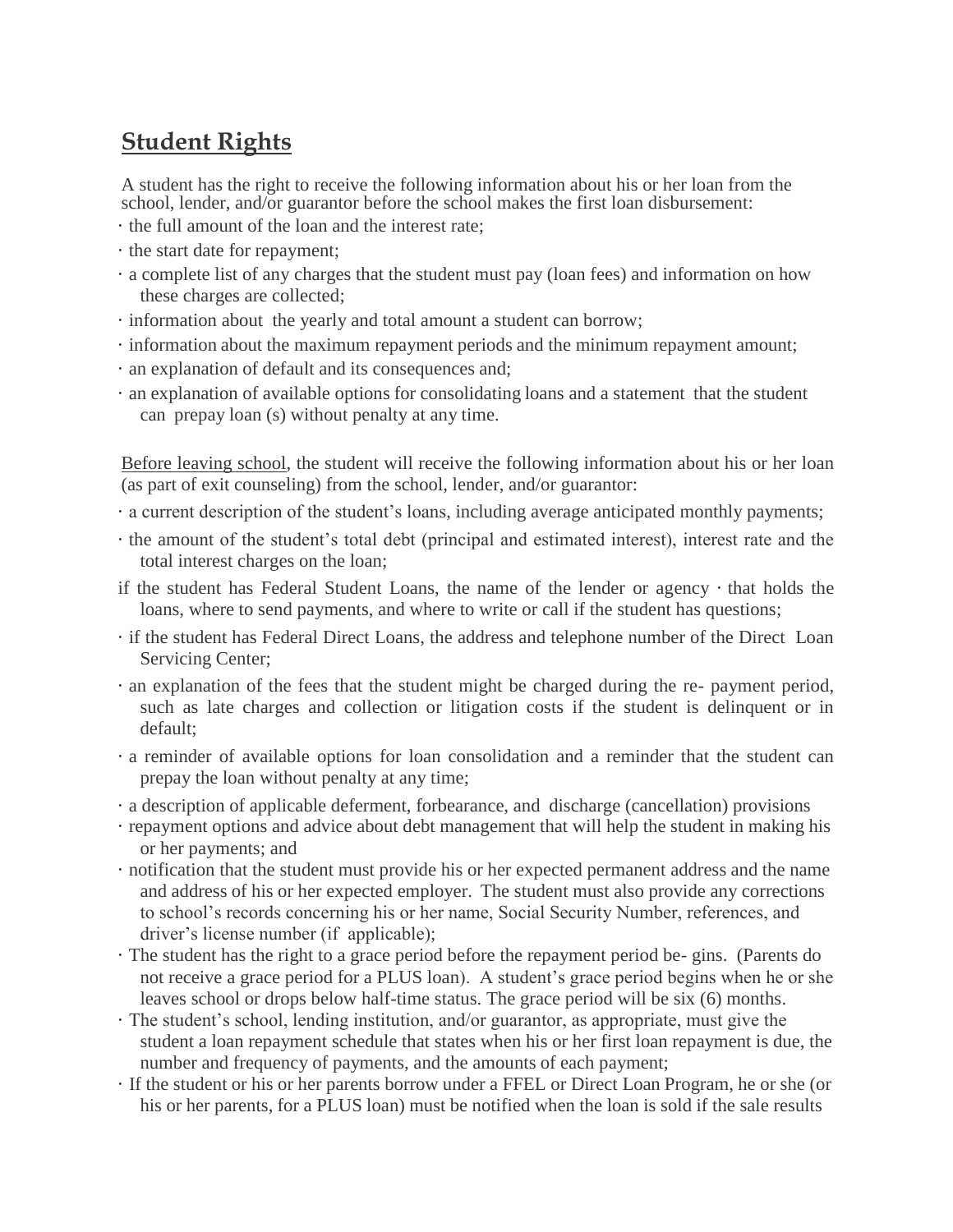## **Student Rights**

A student has the right to receive the following information about his or her loan from the school, lender, and/or guarantor before the school makes the first loan disbursement:

- · the full amount of the loan and the interest rate;
- · the start date for repayment;
- · a complete list of any charges that the student must pay (loan fees) and information on how these charges are collected;
- · information about the yearly and total amount a student can borrow;
- · information about the maximum repayment periods and the minimum repayment amount;
- · an explanation of default and its consequences and;
- · an explanation of available options for consolidating loans and a statement that the student can prepay loan (s) without penalty at any time.

Before leaving school, the student will receive the following information about his or her loan (as part of exit counseling) from the school, lender, and/or guarantor:

- · a current description of the student's loans, including average anticipated monthly payments;
- · the amount of the student's total debt (principal and estimated interest), interest rate and the total interest charges on the loan;
- if the student has Federal Student Loans, the name of the lender or agency · that holds the loans, where to send payments, and where to write or call if the student has questions;
- · if the student has Federal Direct Loans, the address and telephone number of the Direct Loan Servicing Center;
- · an explanation of the fees that the student might be charged during the re- payment period, such as late charges and collection or litigation costs if the student is delinquent or in default;
- · a reminder of available options for loan consolidation and a reminder that the student can prepay the loan without penalty at any time;
- · a description of applicable deferment, forbearance, and discharge (cancellation) provisions
- · repayment options and advice about debt management that will help the student in making his or her payments; and
- · notification that the student must provide his or her expected permanent address and the name and address of his or her expected employer. The student must also provide any corrections to school's records concerning his or her name, Social Security Number, references, and driver's license number (if applicable);
- · The student has the right to a grace period before the repayment period be- gins. (Parents do not receive a grace period for a PLUS loan). A student's grace period begins when he or she leaves school or drops below half-time status. The grace period will be six (6) months.
- · The student's school, lending institution, and/or guarantor, as appropriate, must give the student a loan repayment schedule that states when his or her first loan repayment is due, the number and frequency of payments, and the amounts of each payment;
- · If the student or his or her parents borrow under a FFEL or Direct Loan Program, he or she (or his or her parents, for a PLUS loan) must be notified when the loan is sold if the sale results